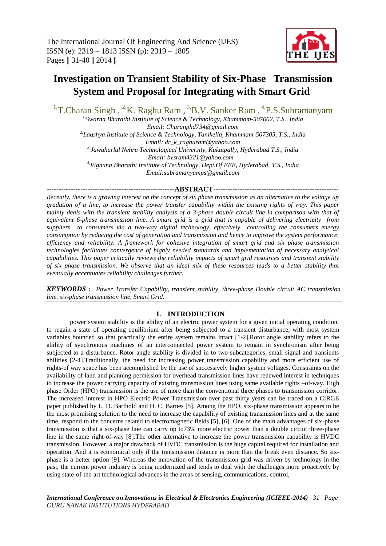

# **Investigation on Transient Stability of Six-Phase Transmission System and Proposal for Integrating with Smart Grid**

<sup>1</sup>T.Charan Singh, <sup>2</sup>K. Raghu Ram, <sup>3</sup>B.V. Sanker Ram, <sup>4</sup>P.S.Subramanyam

*1,Swarna Bharathi Institute of Science & Technology, Khammam-507002, T.S., India Email: Charanphd734@gmail.com 2,Laqshya Institute of Science & Technology, Tanikella, Khammam-507305, T.S., India Email: dr\_k\_raghuram@yahoo.com 3,Jawaharlal Nehru Technological University, Kukatpally, Hyderabad T.S., India Email: bvsram4321@yahoo.com 4,Vignana Bharathi Institute of Technology, Dept.Of EEE, Hyderabad, T.S., India Email:subramanyamps@gmail.com*

### **-----------------------------------------------------ABSTRACT----------------------------------------------------**

*Recently, there is a growing interest on the concept of six phase transmission as an alternative to the voltage up gradation of a line, to increase the power transfer capability within the existing rights of way. This paper mainly deals with the transient stability analysis of a 3-phase double circuit line in comparison with that of equivalent 6-phase transmission line. A smart grid is a grid that is capable of delivering electricity from suppliers to consumers via a two-way digital technology, effectively controlling the consumers energy consumption by reducing the cost of generation and transmission and hence to improve the system performance, efficiency and reliability. A framework for cohesive integration of smart grid and six phase transmission technologies facilitates convergence of highly needed standards and implementation of necessary analytical capabilities. This paper critically reviews the reliability impacts of smart grid resources and transient stability of six phase transmission. We observe that an ideal mix of these resources leads to a better stability that eventually accentuates reliability challenges further.*

*KEYWORDS : Power Transfer Capability, transient stability, three-phase Double circuit AC transmission line, six-phase transmission line, Smart Grid.*

## **I. INTRODUCTION**

power system stability is the ability of an electric power system for a given initial operating condition, to regain a state of operating equilibrium after being subjected to a transient disturbance, with most system variables bounded so that practically the entire system remains intact [1-2].Rotor angle stability refers to the ability of synchronous machines of an interconnected power system to remain in synchronism after being subjected to a disturbance. Rotor angle stability is divided in to two subcategories, small signal and transients abilities [2-4].Traditionally, the need for increasing power transmission capability and more efficient use of rights-of way space has been accomplished by the use of successively higher system voltages. Constraints on the availability of land and planning permission for overhead transmission lines have renewed interest in techniques to increase the power carrying capacity of existing transmission lines using same available rights –of-way. High phase Order (HPO) transmission is the use of more than the conventional three phases to transmission corridor. The increased interest in HPO Electric Power Transmission over past thirty years can be traced on a CIRGE paper published by L. D. Barthold and H. C. Barnes [5]. Among the HPO, six-phase transmission appears to be the most promising solution to the need to increase the capability of existing transmission lines and at the same time, respond to the concerns related to electromagnetic fields [5], [6]. One of the main advantages of six-phase transmission is that a six-phase line can carry up to73% more electric power than a double circuit three-phase line in the same right-of-way [8].The other alternative to increase the power transmission capability is HVDC transmission. However, a major drawback of HVDC transmission is the huge capital required for installation and operation. And it is economical only if the transmission distance is more than the break even distance. So sixphase is a better option [9]. Whereas the innovation of the transmission grid was driven by technology in the past, the current power industry is being modernized and tends to deal with the challenges more proactively by using state-of-the-art technological advances in the areas of sensing, communications, control,

*International Conference on Innovations in Electrical & Electronics Engineering (ICIEEE-2014) 31 | Page GURU NANAK INSTITUTIONS HYDERABAD*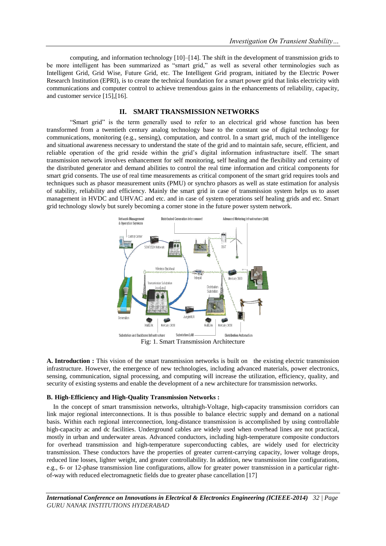computing, and information technology [10]–[14]. The shift in the development of transmission grids to be more intelligent has been summarized as "smart grid," as well as several other terminologies such as Intelligent Grid, Grid Wise, Future Grid, etc. The Intelligent Grid program, initiated by the Electric Power Research Institution (EPRI), is to create the technical foundation for a smart power grid that links electricity with communications and computer control to achieve tremendous gains in the enhancements of reliability, capacity, and customer service [15],[16].

## **II. SMART TRANSMISSION NETWORKS**

―Smart grid‖ is the term generally used to refer to an electrical grid whose function has been transformed from a twentieth century analog technology base to the constant use of digital technology for communications, monitoring (e.g., sensing), computation, and control. In a smart grid, much of the intelligence and situational awareness necessary to understand the state of the grid and to maintain safe, secure, efficient, and reliable operation of the grid reside within the grid's digital information infrastructure itself. The smart transmission network involves enhancement for self monitoring, self healing and the flexibility and certainty of the distributed generator and demand abilities to control the real time information and critical components for smart grid consents. The use of real time measurements as critical component of the smart grid requires tools and techniques such as phasor measurement units (PMU) or synchro phasors as well as state estimation for analysis of stability, reliability and efficiency. Mainly the smart grid in case of transmission system helps us to asset management in HVDC and UHVAC and etc. and in case of system operations self healing grids and etc. Smart grid technology slowly but surely becoming a corner stone in the future power system network.



Fig: 1. Smart Transmission Architecture

**A. Introduction :** This vision of the smart transmission networks is built on the existing electric transmission infrastructure. However, the emergence of new technologies, including advanced materials, power electronics, sensing, communication, signal processing, and computing will increase the utilization, efficiency, quality, and security of existing systems and enable the development of a new architecture for transmission networks.

### **B. High-Efficiency and High-Quality Transmission Networks :**

In the concept of smart transmission networks, ultrahigh-Voltage, high-capacity transmission corridors can link major regional interconnections. It is thus possible to balance electric supply and demand on a national basis. Within each regional interconnection, long-distance transmission is accomplished by using controllable high-capacity ac and dc facilities. Underground cables are widely used when overhead lines are not practical, mostly in urban and underwater areas. Advanced conductors, including high-temperature composite conductors for overhead transmission and high-temperature superconducting cables, are widely used for electricity transmission. These conductors have the properties of greater current-carrying capacity, lower voltage drops, reduced line losses, lighter weight, and greater controllability. In addition, new transmission line configurations, e.g., 6- or 12-phase transmission line configurations, allow for greater power transmission in a particular rightof-way with reduced electromagnetic fields due to greater phase cancellation [17]

*International Conference on Innovations in Electrical & Electronics Engineering (ICIEEE-2014) 32 | Page GURU NANAK INSTITUTIONS HYDERABAD*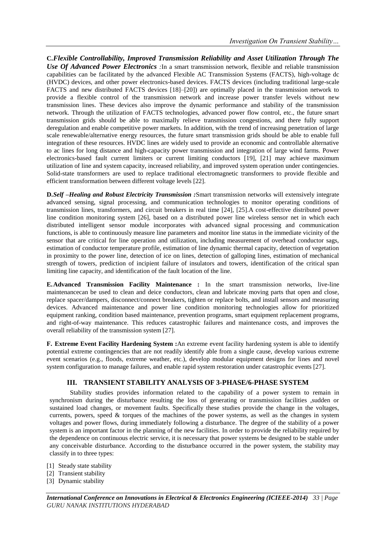**C.***Flexible Controllability, Improved Transmission Reliability and Asset Utilization Through The Use Of Advanced Power Electronics :*In a smart transmission network, flexible and reliable transmission capabilities can be facilitated by the advanced Flexible AC Transmission Systems (FACTS), high-voltage dc (HVDC) devices, and other power electronics-based devices. FACTS devices (including traditional large-scale FACTS and new distributed FACTS devices [18]–[20]) are optimally placed in the transmission network to provide a flexible control of the transmission network and increase power transfer levels without new transmission lines. These devices also improve the dynamic performance and stability of the transmission network. Through the utilization of FACTS technologies, advanced power flow control, etc., the future smart transmission grids should be able to maximally relieve transmission congestions, and there fully support deregulation and enable competitive power markets. In addition, with the trend of increasing penetration of large scale renewable/alternative energy resources, the future smart transmission grids should be able to enable full integration of these resources. HVDC lines are widely used to provide an economic and controllable alternative to ac lines for long distance and high-capacity power transmission and integration of large wind farms. Power electronics-based fault current limiters or current limiting conductors [19], [21] may achieve maximum utilization of line and system capacity, increased reliability, and improved system operation under contingencies. Solid-state transformers are used to replace traditional electromagnetic transformers to provide flexible and efficient transformation between different voltage levels [22].

**D.***Self –Healing and Robust Electricity Transmission :*Smart transmission networks will extensively integrate advanced sensing, signal processing, and communication technologies to monitor operating conditions of transmission lines, transformers, and circuit breakers in real time [24], [25].A cost-effective distributed power line condition monitoring system [26], based on a distributed power line wireless sensor net in which each distributed intelligent sensor module incorporates with advanced signal processing and communication functions, is able to continuously measure line parameters and monitor line status in the immediate vicinity of the sensor that are critical for line operation and utilization, including measurement of overhead conductor sags, estimation of conductor temperature profile, estimation of line dynamic thermal capacity, detection of vegetation in proximity to the power line, detection of ice on lines, detection of galloping lines, estimation of mechanical strength of towers, prediction of incipient failure of insulators and towers, identification of the critical span limiting line capacity, and identification of the fault location of the line.

**E.Advanced Transmission Facility Maintenance :** In the smart transmission networks, live-line maintenancecan be used to clean and deice conductors, clean and lubricate moving parts that open and close, replace spacer/dampers, disconnect/connect breakers, tighten or replace bolts, and install sensors and measuring devices. Advanced maintenance and power line condition monitoring technologies allow for prioritized equipment ranking, condition based maintenance, prevention programs, smart equipment replacement programs, and right-of-way maintenance. This reduces catastrophic failures and maintenance costs, and improves the overall reliability of the transmission system [27].

**F. Extreme Event Facility Hardening System :**An extreme event facility hardening system is able to identify potential extreme contingencies that are not readily identify able from a single cause, develop various extreme event scenarios (e.g., floods, extreme weather, etc.), develop modular equipment designs for lines and novel system configuration to manage failures, and enable rapid system restoration under catastrophic events [27].

# **III. TRANSIENT STABILITY ANALYSIS OF 3-PHASE/6-PHASE SYSTEM**

Stability studies provides information related to the capability of a power system to remain in synchronism during the disturbance resulting the loss of generating or transmission facilities ,sudden or sustained load changes, or movement faults. Specifically these studies provide the change in the voltages, currents, powers, speed  $&$  torques of the machines of the power systems, as well as the changes in system voltages and power flows, during immediately following a disturbance. The degree of the stability of a power system is an important factor in the planning of the new facilities. In order to provide the reliability required by the dependence on continuous electric service, it is necessary that power systems be designed to be stable under any conceivable disturbance. According to the disturbance occurred in the power system, the stability may classify in to three types:

- [1] Steady state stability
- [2] Transient stability
- [3] Dynamic stability

*International Conference on Innovations in Electrical & Electronics Engineering (ICIEEE-2014) 33 | Page GURU NANAK INSTITUTIONS HYDERABAD*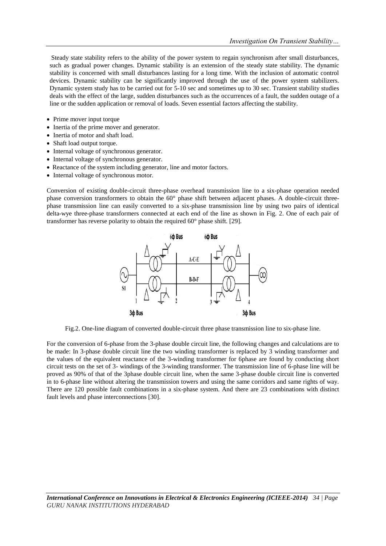Steady state stability refers to the ability of the power system to regain synchronism after small disturbances, such as gradual power changes. Dynamic stability is an extension of the steady state stability. The dynamic stability is concerned with small disturbances lasting for a long time. With the inclusion of automatic control devices. Dynamic stability can be significantly improved through the use of the power system stabilizers. Dynamic system study has to be carried out for 5-10 sec and sometimes up to 30 sec. Transient stability studies deals with the effect of the large, sudden disturbances such as the occurrences of a fault, the sudden outage of a line or the sudden application or removal of loads. Seven essential factors affecting the stability.

- Prime mover input torque
- Inertia of the prime mover and generator.
- Inertia of motor and shaft load.
- Shaft load output torque.
- Internal voltage of synchronous generator.
- Internal voltage of synchronous generator.
- Reactance of the system including generator, line and motor factors.
- Internal voltage of synchronous motor.

Conversion of existing double-circuit three-phase overhead transmission line to a six-phase operation needed phase conversion transformers to obtain the 60° phase shift between adjacent phases. A double-circuit threephase transmission line can easily converted to a six-phase transmission line by using two pairs of identical delta-wye three-phase transformers connected at each end of the line as shown in Fig. 2. One of each pair of transformer has reverse polarity to obtain the required 60° phase shift. [29].



Fig.2. One-line diagram of converted double-circuit three phase transmission line to six-phase line.

For the conversion of 6-phase from the 3-phase double circuit line, the following changes and calculations are to be made: In 3-phase double circuit line the two winding transformer is replaced by 3 winding transformer and the values of the equivalent reactance of the 3-winding transformer for 6phase are found by conducting short circuit tests on the set of 3- windings of the 3-winding transformer. The transmission line of 6-phase line will be proved as 90% of that of the 3phase double circuit line, when the same 3-phase double circuit line is converted in to 6-phase line without altering the transmission towers and using the same corridors and same rights of way. There are 120 possible fault combinations in a six-phase system. And there are 23 combinations with distinct fault levels and phase interconnections [30].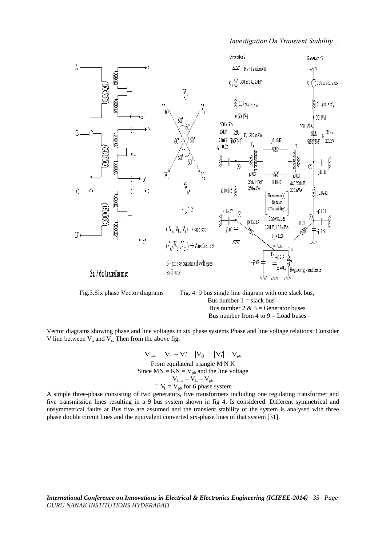

 Fig.3.Six phase Vector diagrams Fig. 4: 9 bus single line diagram with one slack bus, Bus number  $1 =$  slack bus Bus number  $2 \& 3$  = Generator buses Bus number from  $4$  to  $9 =$  Load buses

Vector diagrams showing phase and line voltages in six phase systems Phase and line voltage relations: Consider V line between  $V_a$  and  $V_c$ . Then from the above fig:

$$
V_{\text{line}} = V_a - V_c' = |V_a| = |V_i| = V_{\text{ph}}
$$
  
From equilateral triangle M N K  
Since MN = KN =  $V_{\text{ph}}$  and the line voltage  

$$
V_{\text{line}} = V_L = V_{\text{ph}}
$$

$$
\Box V_L = V_{\text{ph}} \text{ for 6 phase system}
$$

A simple three-phase consisting of two generators, five transformers including one regulating transformer and five transmission lines resulting in a 9 bus system shown in fig 4, Is considered. Different symmetrical and unsymmetrical faults at Bus five are assumed and the transient stability of the system is analysed with three phase double circuit lines and the equivalent converted six-phase lines of that system [31].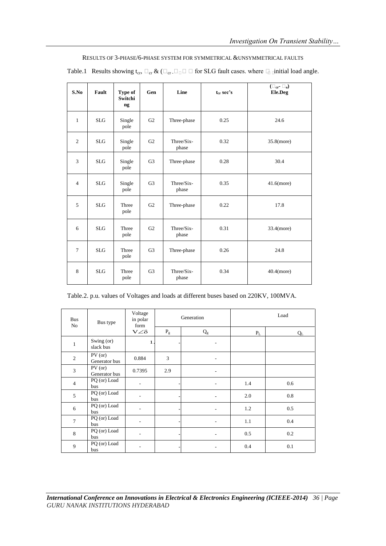Table.1 Results showing  $t_{cr}$ ,  $\Box_{cr} \&$  ( $\Box_{cr} \Box_{\Box} \Box$  for SLG fault cases. where  $\Box$  initial load angle.

| S.No           | Fault      | Type of<br>Switchi<br>ng | Gen            | Line                | t <sub>cr</sub> sec's | $(\Box_{\operatorname{cr}} \varphi)$<br>Ele.Deg |
|----------------|------------|--------------------------|----------------|---------------------|-----------------------|-------------------------------------------------|
| $\mathbf{1}$   | <b>SLG</b> | Single<br>pole           | G2             | Three-phase         | 0.25                  | 24.6                                            |
| $\overline{c}$ | <b>SLG</b> | Single<br>pole           | G2             | Three/Six-<br>phase | 0.32                  | 35.8(more)                                      |
| 3              | <b>SLG</b> | Single<br>pole           | G <sub>3</sub> | 0.28<br>Three-phase |                       | 30.4                                            |
| $\overline{4}$ | <b>SLG</b> | Single<br>pole           | G <sub>3</sub> | Three/Six-<br>phase | 0.35                  | $41.6$ (more)                                   |
| 5              | <b>SLG</b> | Three<br>pole            | G <sub>2</sub> | Three-phase         | 0.22                  | 17.8                                            |
| 6              | <b>SLG</b> | Three<br>pole            | G2             | Three/Six-<br>phase | 0.31                  | 33.4(more)                                      |
| 7              | <b>SLG</b> | Three<br>pole            | G <sub>3</sub> | Three-phase         | 0.26                  | 24.8                                            |
| 8              | <b>SLG</b> | Three<br>pole            | G <sub>3</sub> | Three/Six-<br>phase | 0.34                  | $40.4$ (more)                                   |

Table.2. p.u. values of Voltages and loads at different buses based on 220KV, 100MVA.

| <b>Bus</b><br>No | Bus type                   | Voltage<br>in polar<br>form<br>$V\angle\delta$ |       | Generation                   | Load                    |       |
|------------------|----------------------------|------------------------------------------------|-------|------------------------------|-------------------------|-------|
|                  |                            |                                                | $P_g$ | $\mathbf{Q}_{g}$             | $\mathbf{P}_\mathrm{L}$ | $Q_L$ |
| $\mathbf{1}$     | Swing (or)<br>slack bus    | $\mathbf{1}$                                   |       | ٠                            |                         |       |
| $\overline{c}$   | $PV$ (or)<br>Generator bus | 0.884                                          | 3     | ٠                            |                         |       |
| $\overline{3}$   | PV (or)<br>Generator bus   | 0.7395                                         | 2.9   | ۰                            |                         |       |
| $\overline{4}$   | PQ (or) Load<br>bus        |                                                |       | ٠                            | 1.4                     | 0.6   |
| 5                | PQ (or) Load<br>bus        | ٠                                              |       | ۰                            | 2.0                     | 0.8   |
| 6                | PQ (or) Load<br>bus        |                                                |       |                              | 1.2                     | 0.5   |
| $\overline{7}$   | PQ (or) Load<br>bus        | ٠                                              |       | ٠                            | 1.1                     | 0.4   |
| 8                | PQ (or) Load<br>bus        |                                                |       |                              | 0.5                     | 0.2   |
| 9                | PQ (or) Load<br>bus        | ٠                                              |       | $\qquad \qquad \blacksquare$ | 0.4                     | 0.1   |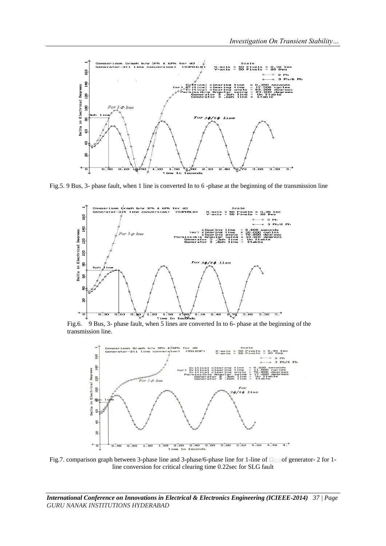

Fig.5. 9 Bus, 3- phase fault, when 1 line is converted In to 6 -phase at the beginning of the transmission line



Fig.6. 9 Bus, 3- phase fault, when 5 lines are converted In to 6- phase at the beginning of the transmission line.



Fig.7. comparison graph between 3-phase line and 3-phase/6-phase line for 1-line of  $\Box$  of generator- 2 for 1line conversion for critical clearing time 0.22sec for SLG fault

*International Conference on Innovations in Electrical & Electronics Engineering (ICIEEE-2014) 37 | Page GURU NANAK INSTITUTIONS HYDERABAD*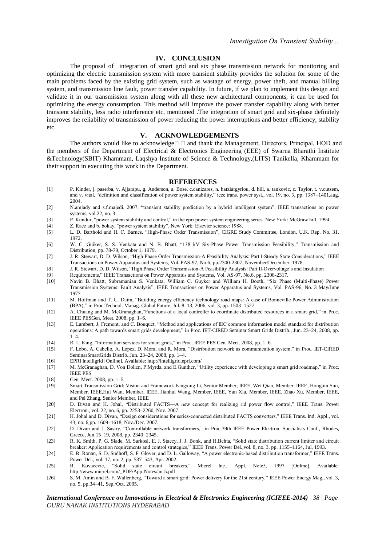### **IV. CONCLUSION**

The proposal of integration of smart grid and six phase transmission network for monitoring and optimizing the electric transmission system with more transient stability provides the solution for some of the main problems faced by the existing grid system, such as wastage of energy, power theft, and manual billing system, and transmission line fault, power transfer capability. In future, if we plan to implement this design and validate it in our transmission system along with all these new architectural components, it can be used for optimizing the energy consumption. This method will improve the power transfer capability along with better transient stability, less radio interference etc, mentioned .The integration of smart grid and six-phase definitely improves the reliability of transmission of power reducing the power interruptions and better efficiency, stability etc.

### **V. ACKNOWLEDGEMENTS**

The authors would like to acknowledge  $\Box$  and thank the Management, Directors, Principal, HOD and the members of the Department of Electrical & Electronics Engineering (EEE) of Swarna Bharathi Institute &Technology(SBIT) Khammam, Laqshya Institute of Science & Technology,(LITS) Tanikella, Khammam for their support in executing this work in the Department.

#### **REFERENCES**

- [1] P. Kinder, j. paserba, v. Ajjarapu, g. Anderson, a. Bose, c.canizares, n. hatziargyriou, d. hill, a. tankovic, c. Taylor, t. v.cutsem, and v. vital, "definition and classification of power system stability," ieee trans. power syst., vol. 19, no. 3, pp. 1387-1401,aug. 2004.
- [2] N.amjady and s.f.majedi, 2007, "transient stability prediction by a hybrid intelligent system", IEEE transactions on power systems, vol 22, no. 3
- [3] P. Kundur, "power system stability and control," in the epri power system engineering series. New York: McGraw hill, 1994.<br>[4] Z. Racz and b. bokay, "power system stability". New York: Elsevier science: 1988.
- [4] Z. Racz and b. bokay, "power system stability". New York: Elsevier science: 1988. [5] L. D. Barthold and H. C. Barnes, "High-Phase Order Transmission", CIGRE Study Committee, London, U.K. Rep. No. 31. 1972.
- [6] W. C. Guiker, S. S. Venkata and N. B. Bhatt, "138 kV Six-Phase Power Transmission Feasibility," Transmission and Distribution, pp. 78-79, October 1, 1979.
- [7] J. R. Stewart, D. D. Wilson, "High Phase Order Transmission-A Feasibility Analysis: Part I-Steady State Considerations," IEEE Transactions on Power Apparatus and Systems, Vol. PAS-97, No.6, pp.2300-2307, November/December, 1978.
- [8] J. R. Stewart, D. D. Wilson, "High Phase Order Transmission-A Feasibility Analysis: Part II-Overvoltage's and Insulation<br>[9] Requirements," IEEE Transactions on Power Apparatus and Systems, Vol. AS-97, No.6, pp. 2308-2
- Feat Requirements," IEEE Transactions on Power Apparatus and Systems, Vol. AS-97, No.6, pp. 2308-2317.<br>[10] Navin B. Bhatt, Subramanian S. Venkata, William C. Guyker and William H. Booth, "Six Phas
- Navin B. Bhatt, Subramanian S. Venkata, William C. Guyker and William H. Booth, "Six Phase (Multi-Phase) Power Transmission Systems: Fault Analysis", IEEE Transactions on Power Apparatus and Systems, Vol. PAS-96, No. 3 May/June 1977
- [11] M. Hoffman and T. U. Daim, "Building energy efficiency technology road maps: A case of Bonneville Power Administration (BPA)," in Proc.Technol. Manag. Global Future, Jul. 8-13, 2006, vol. 3, pp. 1503-1527.
- [12] A. Chuang and M. McGranaghan, "Functions of a local controller to coordinate distributed resources in a smart grid," in Proc. IEEE PESGen. Meet. 2008, pp. 1–6.
- [13] E. Lambert, J. Fremont, and C. Bouquet, "Method and applications of IEC common information model standard for distribution operations: A path towards smart grids development," in Proc. IET-CIRED Seminar Smart Grids Distrib., Jun. 23-24, 2008, pp. 1–4.
- [14] R. L. King, "Information services for smart grids," in Proc. IEEE PES Gen. Meet. 2008, pp. 1–6.
- [15] F. Lobo, A. Cabello, A. Lopez, D. Mora, and R. Mora, "Distribution network as communication system," in Proc. IET-CIRED SeminarSmartGrids Distrib.,Jun. 23–24, 2008, pp. 1–4.
- [16] EPRI Intelligrid [Online]. Available: http://intelligrid.epri.com/
- [17] M. McGranaghan, D. Von Dollen, P.Myrda, and E.Gunther, "Utility experience with developing a smart grid roadmap," in Proc. IEEE PES
- [18] Gen. Meet. 2008, pp. 1–5
- [19] Smart Transmission Grid: Vision and Framework Fangxing Li, Senior Member, IEEE, Wei Qiao, Member, IEEE, Hongbin Sun, Member, IEEE,Hui Wan, Member, IEEE, Jianhui Wang, Member, IEEE, Yan Xia, Member, IEEE, Zhao Xu, Member, IEEE, and Pei Zhang, Senior Member, IEEE
- [20] D. Divan and H. Johal, "Distributed FACTS—A new concept for realizing rid power flow control," IEEE Trans. Power Electron., vol. 22, no. 6, pp. 2253–2260, Nov. 2007.
- [21] H. Johal and D. Divan, "Design considerations for series-connected distributed FACTS converters," IEEE Trans. Ind. Appl., vol. 43, no. 6,pp. 1609–1618, Nov./Dec. 2007.
- [22] D. Divan and J. Sastry, "Controllable network transformers," in Proc.39th IEEE Power Electron. Specialists Conf., Rhodes, Greece, Jun.15–19, 2008, pp. 2340–2345.
- [23] R. K. Smith, P. G. Slade, M. Sarkosi, E. J. Stacey, J. J. Bonk, and H.Behta, "Solid state distribution current limiter and circuit breaker: Application requirements and control strategies," IEEE Trans. Power Del.,vol. 8, no. 3, pp. 1155–1164, Jul. 1993.
- [24] E. R. Ronan, S. D. Sudhoff, S. F. Glover, and D. L. Galloway, "A power electronic-based distribution transformer," IEEE Trans. Power Del., vol. 17, no. 2, pp. 537–543, Apr. 2002.
- [25] B. Kovacevic, "Solid state circuit breakers," Micrel Inc., Appl. Note5, 1997 [Online]. Available: http://www.micrel.com/\_PDF/App-Notes/an-5.pdf
- [26] S. M. Amin and B. F. Wallenberg, "Toward a smart grid: Power delivery for the 21st century," IEEE Power Energy Mag., vol. 3, no. 5, pp.34–41, Sep./Oct. 2005.

*International Conference on Innovations in Electrical & Electronics Engineering (ICIEEE-2014) 38 | Page GURU NANAK INSTITUTIONS HYDERABAD*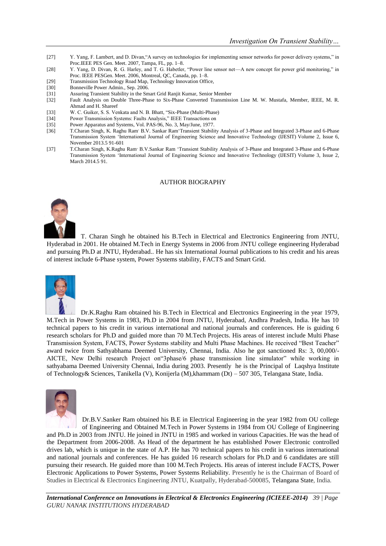- [27] Y. Yang, F. Lambert, and D. Divan, "A survey on technologies for implementing sensor networks for power delivery systems," in Proc.IEEE PES Gen. Meet. 2007, Tampa, FL, pp. 1–8.
- [28] Y. Yang, D. Divan, R. G. Harley, and T. G. Habetler, "Power line sensor net—A new concept for power grid monitoring," in Proc. IEEE PESGen. Meet. 2006, Montreal, QC, Canada, pp. 1–8.
- [29] Transmission Technology Road Map, Technology Innovation Office,<br>[30] Bonneville Power Admin., Sep. 2006.
- Bonneville Power Admin., Sep. 2006.
- [31] Assuring Transient Stability in the Smart Grid Ranjit Kumar, Senior Member<br>
[32] Fault Analysis on Double Three-Phase to Six-Phase Converted Transmiss
- Fault Analysis on Double Three-Phase to Six-Phase Converted Transmission Line M. W. Mustafa, Member, IEEE, M. R. Ahmad and H. Shareef
- [33] W. C. Guiker, S. S. Venkata and N. B. Bhatt, "Six-Phase (Multi-Phase)<br>
[34] Power Transmission Systems: Faults Analysis," IEEE Transactions on
- Power Transmission Systems: Faults Analysis," IEEE Transactions on
- [35] Power Apparatus and Systems, Vol. PAS-96, No. 3, May/June, 1977.<br>[36] T.Charan Singh, K. Raghu Ram' B.V. Sankar Ram'Transient Stabili
- [36] T.Charan Singh, K. Raghu Ram, B.V. Sankar Ram‗Transient Stability Analysis of 3-Phase and Integrated 3-Phase and 6-Phase Transmission System 'International Journal of Engineering Science and Innovative Technology (IJESIT) Volume 2, Issue 6, November 2013.5 91-601
- [37] T.Charan Singh, K.Raghu Ram<sup>,</sup> B.V.Sankar Ram 'Transient Stability Analysis of 3-Phase and Integrated 3-Phase and 6-Phase Transmission System 'International Journal of Engineering Science and Innovative Technology (IJESIT) Volume 3, Issue 2, March 2014.5 91.

### AUTHOR BIOGRAPHY



T. Charan Singh he obtained his B.Tech in Electrical and Electronics Engineering from JNTU, Hyderabad in 2001. He obtained M.Tech in Energy Systems in 2006 from JNTU college engineering Hyderabad and pursuing Ph.D at JNTU, Hyderabad.. He has six International Journal publications to his credit and his areas of interest include 6-Phase system, Power Systems stability, FACTS and Smart Grid.



Dr.K.Raghu Ram obtained his B.Tech in Electrical and Electronics Engineering in the year 1979, M.Tech in Power Systems in 1983, Ph.D in 2004 from JNTU, Hyderabad, Andhra Pradesh, India. He has 10 technical papers to his credit in various international and national journals and conferences. He is guiding 6 research scholars for Ph.D and guided more than 70 M.Tech Projects. His areas of interest include Multi Phase Transmission System, FACTS, Power Systems stability and Multi Phase Machines. He received "Best Teacher" award twice from Sathyabhama Deemed University, Chennai, India. Also he got sanctioned Rs: 3, 00,000/- AICTE, New Delhi research Project on"3phase/6 phase transmission line simulator" while working in sathyabama Deemed University Chennai, India during 2003. Presently he is the Principal of Laqshya Institute of Technology& Sciences, Tanikella (V), Konijerla (M),khammam (Dt) – 507 305, Telangana State, India.



Dr.B.V.Sanker Ram obtained his B.E in Electrical Engineering in the year 1982 from OU college of Engineering and Obtained M.Tech in Power Systems in 1984 from OU College of Engineering and Ph.D in 2003 from JNTU. He joined in JNTU in 1985 and worked in various Capacities. He was the head of the Department from 2006-2008. As Head of the department he has established Power Electronic controlled

drives lab, which is unique in the state of A.P. He has 70 technical papers to his credit in various international and national journals and conferences. He has guided 16 research scholars for Ph.D and 6 candidates are still pursuing their research. He guided more than 100 M.Tech Projects. His areas of interest include FACTS, Power Electronic Applications to Power Systems, Power Systems Reliability. Presently he is the Chairman of Board of Studies in Electrical & Electronics Engineering JNTU, Kuatpally, Hyderabad-500085, Telangana State, India.

*International Conference on Innovations in Electrical & Electronics Engineering (ICIEEE-2014) 39 | Page GURU NANAK INSTITUTIONS HYDERABAD*